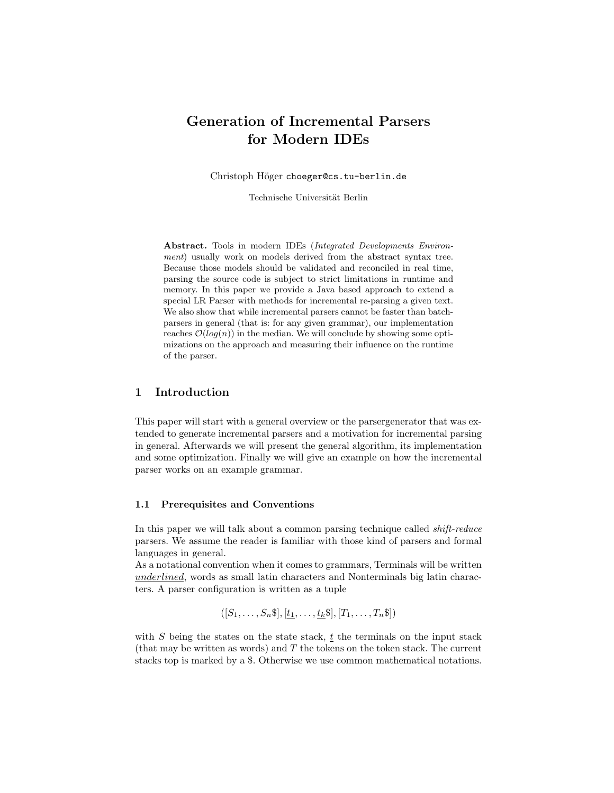# Generation of Incremental Parsers for Modern IDEs

Christoph Höger choeger@cs.tu-berlin.de

Technische Universität Berlin

Abstract. Tools in modern IDEs (Integrated Developments Environment) usually work on models derived from the abstract syntax tree. Because those models should be validated and reconciled in real time, parsing the source code is subject to strict limitations in runtime and memory. In this paper we provide a Java based approach to extend a special LR Parser with methods for incremental re-parsing a given text. We also show that while incremental parsers cannot be faster than batchparsers in general (that is: for any given grammar), our implementation reaches  $\mathcal{O}(log(n))$  in the median. We will conclude by showing some optimizations on the approach and measuring their influence on the runtime of the parser.

## 1 Introduction

This paper will start with a general overview or the parsergenerator that was extended to generate incremental parsers and a motivation for incremental parsing in general. Afterwards we will present the general algorithm, its implementation and some optimization. Finally we will give an example on how the incremental parser works on an example grammar.

#### 1.1 Prerequisites and Conventions

In this paper we will talk about a common parsing technique called shift-reduce parsers. We assume the reader is familiar with those kind of parsers and formal languages in general.

As a notational convention when it comes to grammars, Terminals will be written underlined, words as small latin characters and Nonterminals big latin characters. A parser configuration is written as a tuple

$$
([S_1,\ldots,S_n\$, \S],[t_1,\ldots,t_k\$, \S],[T_1,\ldots,T_n\$, \S])
$$

with  $S$  being the states on the state stack,  $t$  the terminals on the input stack (that may be written as words) and  $T$  the tokens on the token stack. The current stacks top is marked by a \$. Otherwise we use common mathematical notations.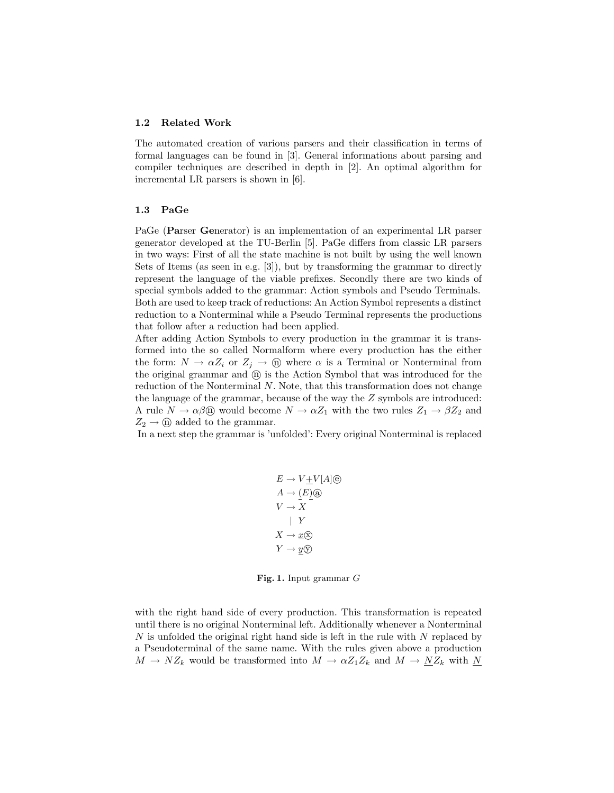#### 1.2 Related Work

The automated creation of various parsers and their classification in terms of formal languages can be found in [3]. General informations about parsing and compiler techniques are described in depth in [2]. An optimal algorithm for incremental LR parsers is shown in [6].

#### 1.3 PaGe

PaGe (Parser Generator) is an implementation of an experimental LR parser generator developed at the TU-Berlin [5]. PaGe differs from classic LR parsers in two ways: First of all the state machine is not built by using the well known Sets of Items (as seen in e.g. [3]), but by transforming the grammar to directly represent the language of the viable prefixes. Secondly there are two kinds of special symbols added to the grammar: Action symbols and Pseudo Terminals. Both are used to keep track of reductions: An Action Symbol represents a distinct reduction to a Nonterminal while a Pseudo Terminal represents the productions that follow after a reduction had been applied.

After adding Action Symbols to every production in the grammar it is transformed into the so called Normalform where every production has the either the form:  $N \to \alpha Z_i$  or  $Z_j \to \text{①}$  where  $\alpha$  is a Terminal or Nonterminal from the original grammar and  $(\hat{\mathbf{n}})$  is the Action Symbol that was introduced for the reduction of the Nonterminal N. Note, that this transformation does not change the language of the grammar, because of the way the Z symbols are introduced: A rule  $N \to \alpha \beta$  would become  $N \to \alpha Z_1$  with the two rules  $Z_1 \to \beta Z_2$  and  $Z_2 \rightarrow \textcircled{n}$  added to the grammar.

In a next step the grammar is 'unfolded': Every original Nonterminal is replaced

$$
E \to V \pm V[A]\circledcirc
$$
  
\n
$$
A \to (E)\circledcirc
$$
  
\n
$$
V \to X
$$
  
\n
$$
Y
$$
  
\n
$$
X \to \underline{x}\circledcirc
$$
  
\n
$$
Y \to \underline{y}\circledcirc
$$

Fig. 1. Input grammar G

with the right hand side of every production. This transformation is repeated until there is no original Nonterminal left. Additionally whenever a Nonterminal N is unfolded the original right hand side is left in the rule with N replaced by a Pseudoterminal of the same name. With the rules given above a production  $M \to NZ_k$  would be transformed into  $M \to \alpha Z_1 Z_k$  and  $M \to \underline{NZ}_k$  with  $\underline{N}$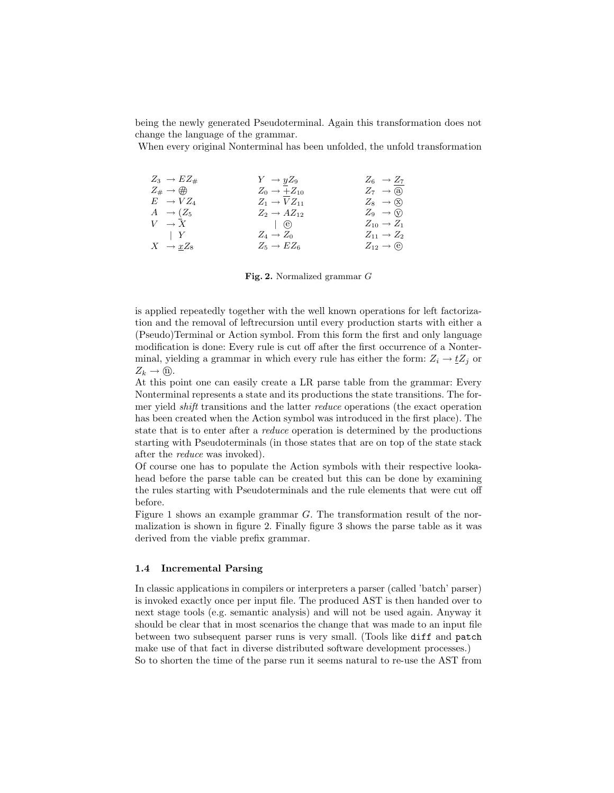being the newly generated Pseudoterminal. Again this transformation does not change the language of the grammar.

When every original Nonterminal has been unfolded, the unfold transformation

| $Z_3 \rightarrow EZ_{\#}$ | $Y \rightarrow yZ_9$      | $Z_6 \rightarrow Z_7$    |
|---------------------------|---------------------------|--------------------------|
| $Z_{\#} \to \#$           | $Z_0 \rightarrow +Z_{10}$ | $Z_7 \rightarrow (a)$    |
| $E \rightarrow VZ_4$      | $Z_1 \rightarrow VZ_{11}$ | $Z_8 \rightarrow (x)$    |
| $A \rightarrow (Z_5$      | $Z_2 \rightarrow AZ_{12}$ | $Z_9 \rightarrow (y)$    |
| $V \rightarrow X$         | (e)                       | $Z_{10} \rightarrow Z_1$ |
| $\vert Y \vert$           | $Z_4 \rightarrow Z_0$     | $Z_{11} \rightarrow Z_2$ |
| $X \rightarrow xZ_8$      | $Z_5 \rightarrow EZ_6$    | $Z_{12} \rightarrow (e)$ |

Fig. 2. Normalized grammar G

is applied repeatedly together with the well known operations for left factorization and the removal of leftrecursion until every production starts with either a (Pseudo)Terminal or Action symbol. From this form the first and only language modification is done: Every rule is cut off after the first occurrence of a Nonterminal, yielding a grammar in which every rule has either the form:  $Z_i \rightarrow \underline{t}Z_j$  or  $Z_k \to \textcircled{n}.$ 

At this point one can easily create a LR parse table from the grammar: Every Nonterminal represents a state and its productions the state transitions. The former yield shift transitions and the latter reduce operations (the exact operation has been created when the Action symbol was introduced in the first place). The state that is to enter after a reduce operation is determined by the productions starting with Pseudoterminals (in those states that are on top of the state stack after the reduce was invoked).

Of course one has to populate the Action symbols with their respective lookahead before the parse table can be created but this can be done by examining the rules starting with Pseudoterminals and the rule elements that were cut off before.

Figure 1 shows an example grammar G. The transformation result of the normalization is shown in figure 2. Finally figure 3 shows the parse table as it was derived from the viable prefix grammar.

#### 1.4 Incremental Parsing

In classic applications in compilers or interpreters a parser (called 'batch' parser) is invoked exactly once per input file. The produced AST is then handed over to next stage tools (e.g. semantic analysis) and will not be used again. Anyway it should be clear that in most scenarios the change that was made to an input file between two subsequent parser runs is very small. (Tools like diff and patch make use of that fact in diverse distributed software development processes.) So to shorten the time of the parse run it seems natural to re-use the AST from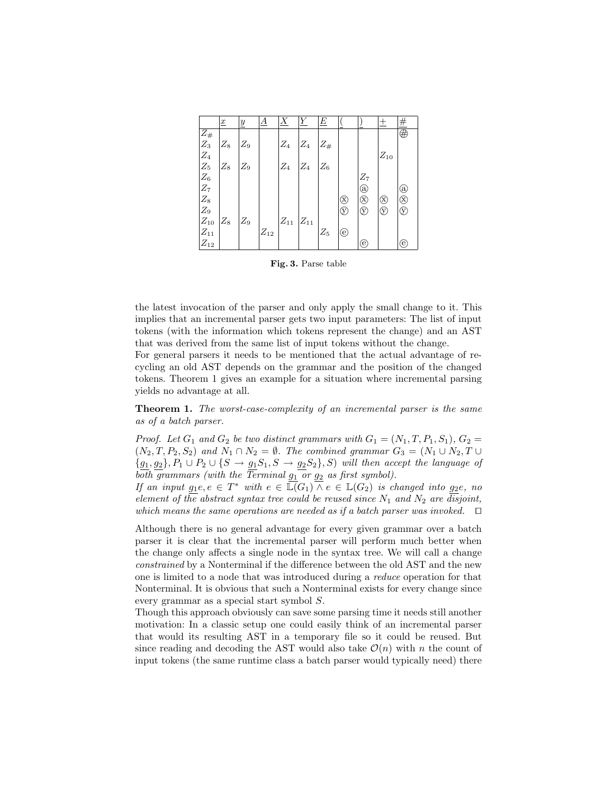|                                  | $\underline{x}$ | $\underline{y}$ | $\underline{A}$   | X                 | Υ              | E              |                        |                | 土            | #                   |
|----------------------------------|-----------------|-----------------|-------------------|-------------------|----------------|----------------|------------------------|----------------|--------------|---------------------|
| $Z_{\#}$                         |                 |                 |                   |                   |                |                |                        |                |              | $\overline{\oplus}$ |
| $Z_3^{''}$                       | $\mathbb{Z}_8$  | $Z_9$           |                   | $\mathbb{Z}_4$    | $Z_4$          | $Z_{\#}$       |                        |                |              |                     |
| $\mathbb{Z}_4$                   |                 |                 |                   |                   |                |                |                        |                | $Z_{10}$     |                     |
| $\mathbb{Z}_5$                   | $Z_8$           | $Z_9$           |                   | $\mathbb{Z}_4$    | $\mathbb{Z}_4$ | $\mathbb{Z}_6$ |                        |                |              |                     |
| $Z_6$<br>$Z_7$<br>$Z_8$<br>$Z_9$ |                 |                 |                   |                   |                |                |                        | $Z_7$          |              |                     |
|                                  |                 |                 |                   |                   |                |                |                        | $\circledcirc$ |              | $\circled{a}$       |
|                                  |                 |                 |                   |                   |                |                | $\circledR$            | $\circledR$    | ⊗            | $\circledR$         |
|                                  |                 |                 |                   |                   |                |                | $\widehat{\mathbb{V}}$ | V              | $^\circledR$ | $\circledcirc$      |
| $\mathcal{Z}_{10}$               | $\mathbb{Z}_8$  | $\mathbb{Z}_9$  |                   | $\mathbb{Z}_{11}$ | $ Z_{11} $     |                |                        |                |              |                     |
| $\mathbb{Z}_{11}$                |                 |                 | $\mathbb{Z}_{12}$ |                   |                | $\mathbb{Z}_5$ | $\circlede$            |                |              |                     |
| $\mathbb{Z}_{12}$                |                 |                 |                   |                   |                |                |                        | (e)            |              | (e)                 |

Fig. 3. Parse table

the latest invocation of the parser and only apply the small change to it. This implies that an incremental parser gets two input parameters: The list of input tokens (with the information which tokens represent the change) and an AST that was derived from the same list of input tokens without the change.

For general parsers it needs to be mentioned that the actual advantage of recycling an old AST depends on the grammar and the position of the changed tokens. Theorem 1 gives an example for a situation where incremental parsing yields no advantage at all.

Theorem 1. The worst-case-complexity of an incremental parser is the same as of a batch parser.

Proof. Let  $G_1$  and  $G_2$  be two distinct grammars with  $G_1 = (N_1, T, P_1, S_1), G_2 =$  $(N_2, T, P_2, S_2)$  and  $N_1 \cap N_2 = \emptyset$ . The combined grammar  $G_3 = (N_1 \cup N_2, T \cup N_2)$  ${g_1, g_2}, P_1 \cup P_2 \cup {S \rightarrow g_1S_1, S \rightarrow g_2S_2}, S$  will then accept the language of both grammars (with the Terminal  $g_1$  or  $g_2$  as first symbol).

If an input  $g_1e, e \in T^*$  with  $e \in \overline{\mathbb{L}(G_1)} \cap e \in \mathbb{L}(G_2)$  is changed into  $g_2e$ , no element of the abstract syntax tree could be reused since  $N_1$  and  $N_2$  are disjoint, which means the same operations are needed as if a batch parser was invoked.  $\quad \Box$ 

Although there is no general advantage for every given grammar over a batch parser it is clear that the incremental parser will perform much better when the change only affects a single node in the syntax tree. We will call a change constrained by a Nonterminal if the difference between the old AST and the new one is limited to a node that was introduced during a reduce operation for that Nonterminal. It is obvious that such a Nonterminal exists for every change since every grammar as a special start symbol S.

Though this approach obviously can save some parsing time it needs still another motivation: In a classic setup one could easily think of an incremental parser that would its resulting AST in a temporary file so it could be reused. But since reading and decoding the AST would also take  $\mathcal{O}(n)$  with n the count of input tokens (the same runtime class a batch parser would typically need) there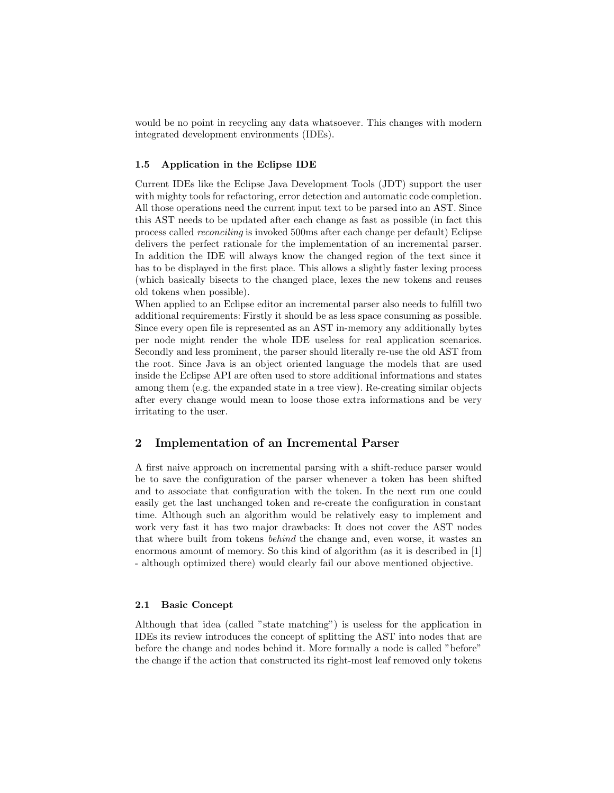would be no point in recycling any data whatsoever. This changes with modern integrated development environments (IDEs).

## 1.5 Application in the Eclipse IDE

Current IDEs like the Eclipse Java Development Tools (JDT) support the user with mighty tools for refactoring, error detection and automatic code completion. All those operations need the current input text to be parsed into an AST. Since this AST needs to be updated after each change as fast as possible (in fact this process called reconciling is invoked 500ms after each change per default) Eclipse delivers the perfect rationale for the implementation of an incremental parser. In addition the IDE will always know the changed region of the text since it has to be displayed in the first place. This allows a slightly faster lexing process (which basically bisects to the changed place, lexes the new tokens and reuses old tokens when possible).

When applied to an Eclipse editor an incremental parser also needs to fulfill two additional requirements: Firstly it should be as less space consuming as possible. Since every open file is represented as an AST in-memory any additionally bytes per node might render the whole IDE useless for real application scenarios. Secondly and less prominent, the parser should literally re-use the old AST from the root. Since Java is an object oriented language the models that are used inside the Eclipse API are often used to store additional informations and states among them (e.g. the expanded state in a tree view). Re-creating similar objects after every change would mean to loose those extra informations and be very irritating to the user.

## 2 Implementation of an Incremental Parser

A first naive approach on incremental parsing with a shift-reduce parser would be to save the configuration of the parser whenever a token has been shifted and to associate that configuration with the token. In the next run one could easily get the last unchanged token and re-create the configuration in constant time. Although such an algorithm would be relatively easy to implement and work very fast it has two major drawbacks: It does not cover the AST nodes that where built from tokens behind the change and, even worse, it wastes an enormous amount of memory. So this kind of algorithm (as it is described in [1] - although optimized there) would clearly fail our above mentioned objective.

## 2.1 Basic Concept

Although that idea (called "state matching") is useless for the application in IDEs its review introduces the concept of splitting the AST into nodes that are before the change and nodes behind it. More formally a node is called "before" the change if the action that constructed its right-most leaf removed only tokens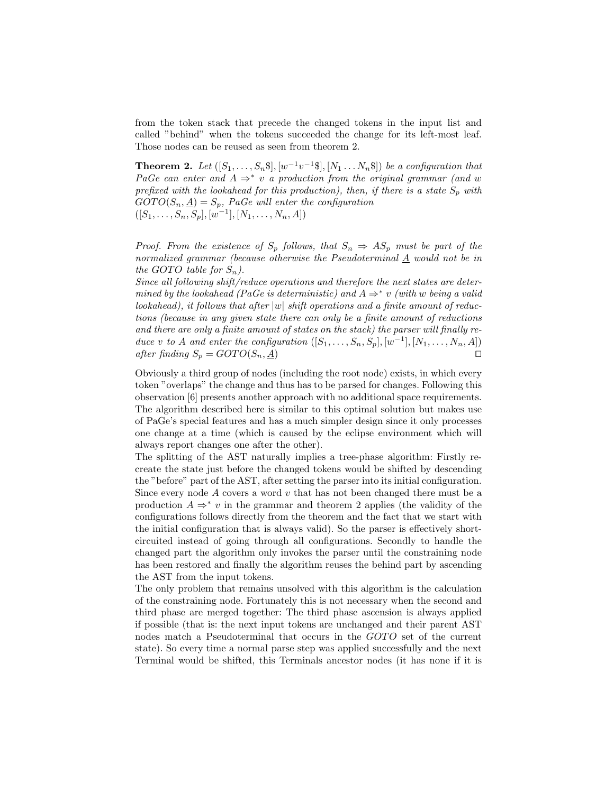from the token stack that precede the changed tokens in the input list and called "behind" when the tokens succeeded the change for its left-most leaf. Those nodes can be reused as seen from theorem 2.

**Theorem 2.** Let  $([S_1, \ldots, S_n \$], [w^{-1}v^{-1}\$], [N_1 \ldots N_n \$])$  be a configuration that PaGe can enter and  $A \Rightarrow^* v$  a production from the original grammar (and w prefixed with the lookahead for this production), then, if there is a state  $S_p$  with  $GOTO(S_n, \underline{A}) = S_p$ , PaGe will enter the configuration  $([S_1, \ldots, S_n, S_p], [w^{-1}], [N_1, \ldots, N_n, A])$ 

Proof. From the existence of  $S_p$  follows, that  $S_n \Rightarrow AS_p$  must be part of the normalized grammar (because otherwise the Pseudoterminal  $\underline{A}$  would not be in the GOTO table for  $S_n$ ).

Since all following shift/reduce operations and therefore the next states are determined by the lookahead (PaGe is deterministic) and  $A \Rightarrow^* v$  (with w being a valid lookahead), it follows that after  $|w|$  shift operations and a finite amount of reductions (because in any given state there can only be a finite amount of reductions and there are only a finite amount of states on the stack) the parser will finally reduce v to A and enter the configuration  $([S_1, \ldots, S_n, S_p], [w^{-1}], [N_1, \ldots, N_n, A])$ after finding  $S_p = GOTO(S_n, \underline{A})$ 

Obviously a third group of nodes (including the root node) exists, in which every token "overlaps" the change and thus has to be parsed for changes. Following this observation [6] presents another approach with no additional space requirements. The algorithm described here is similar to this optimal solution but makes use of PaGe's special features and has a much simpler design since it only processes one change at a time (which is caused by the eclipse environment which will always report changes one after the other).

The splitting of the AST naturally implies a tree-phase algorithm: Firstly recreate the state just before the changed tokens would be shifted by descending the "before" part of the AST, after setting the parser into its initial configuration. Since every node  $A$  covers a word  $v$  that has not been changed there must be a production  $A \Rightarrow^* v$  in the grammar and theorem 2 applies (the validity of the configurations follows directly from the theorem and the fact that we start with the initial configuration that is always valid). So the parser is effectively shortcircuited instead of going through all configurations. Secondly to handle the changed part the algorithm only invokes the parser until the constraining node has been restored and finally the algorithm reuses the behind part by ascending the AST from the input tokens.

The only problem that remains unsolved with this algorithm is the calculation of the constraining node. Fortunately this is not necessary when the second and third phase are merged together: The third phase ascension is always applied if possible (that is: the next input tokens are unchanged and their parent AST nodes match a Pseudoterminal that occurs in the GOTO set of the current state). So every time a normal parse step was applied successfully and the next Terminal would be shifted, this Terminals ancestor nodes (it has none if it is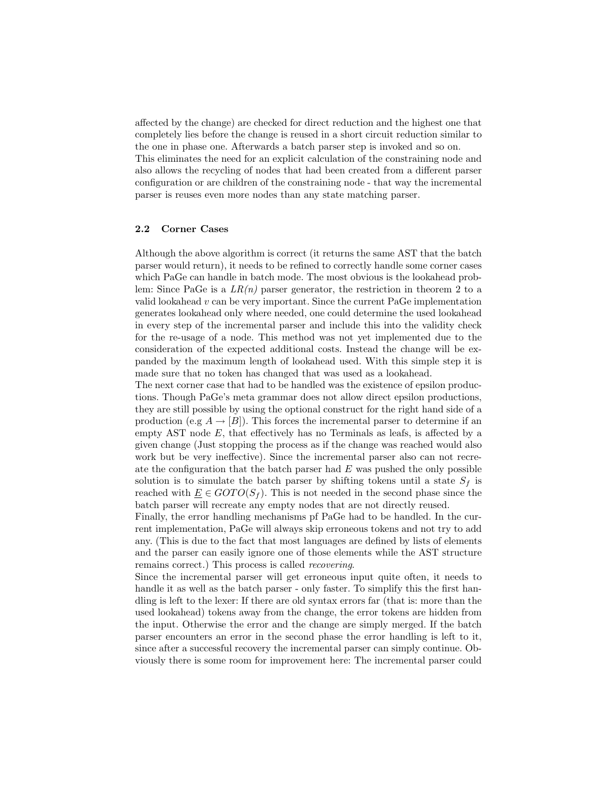affected by the change) are checked for direct reduction and the highest one that completely lies before the change is reused in a short circuit reduction similar to the one in phase one. Afterwards a batch parser step is invoked and so on. This eliminates the need for an explicit calculation of the constraining node and also allows the recycling of nodes that had been created from a different parser configuration or are children of the constraining node - that way the incremental parser is reuses even more nodes than any state matching parser.

#### 2.2 Corner Cases

Although the above algorithm is correct (it returns the same AST that the batch parser would return), it needs to be refined to correctly handle some corner cases which PaGe can handle in batch mode. The most obvious is the lookahead problem: Since PaGe is a  $LR(n)$  parser generator, the restriction in theorem 2 to a valid lookahead  $v$  can be very important. Since the current PaGe implementation generates lookahead only where needed, one could determine the used lookahead in every step of the incremental parser and include this into the validity check for the re-usage of a node. This method was not yet implemented due to the consideration of the expected additional costs. Instead the change will be expanded by the maximum length of lookahead used. With this simple step it is made sure that no token has changed that was used as a lookahead.

The next corner case that had to be handled was the existence of epsilon productions. Though PaGe's meta grammar does not allow direct epsilon productions, they are still possible by using the optional construct for the right hand side of a production (e.g  $A \rightarrow [B]$ ). This forces the incremental parser to determine if an empty AST node  $E$ , that effectively has no Terminals as leafs, is affected by a given change (Just stopping the process as if the change was reached would also work but be very ineffective). Since the incremental parser also can not recreate the configuration that the batch parser had  $E$  was pushed the only possible solution is to simulate the batch parser by shifting tokens until a state  $S_f$  is reached with  $\underline{E} \in GOTO(S_f)$ . This is not needed in the second phase since the batch parser will recreate any empty nodes that are not directly reused.

Finally, the error handling mechanisms pf PaGe had to be handled. In the current implementation, PaGe will always skip erroneous tokens and not try to add any. (This is due to the fact that most languages are defined by lists of elements and the parser can easily ignore one of those elements while the AST structure remains correct.) This process is called recovering.

Since the incremental parser will get erroneous input quite often, it needs to handle it as well as the batch parser - only faster. To simplify this the first handling is left to the lexer: If there are old syntax errors far (that is: more than the used lookahead) tokens away from the change, the error tokens are hidden from the input. Otherwise the error and the change are simply merged. If the batch parser encounters an error in the second phase the error handling is left to it, since after a successful recovery the incremental parser can simply continue. Obviously there is some room for improvement here: The incremental parser could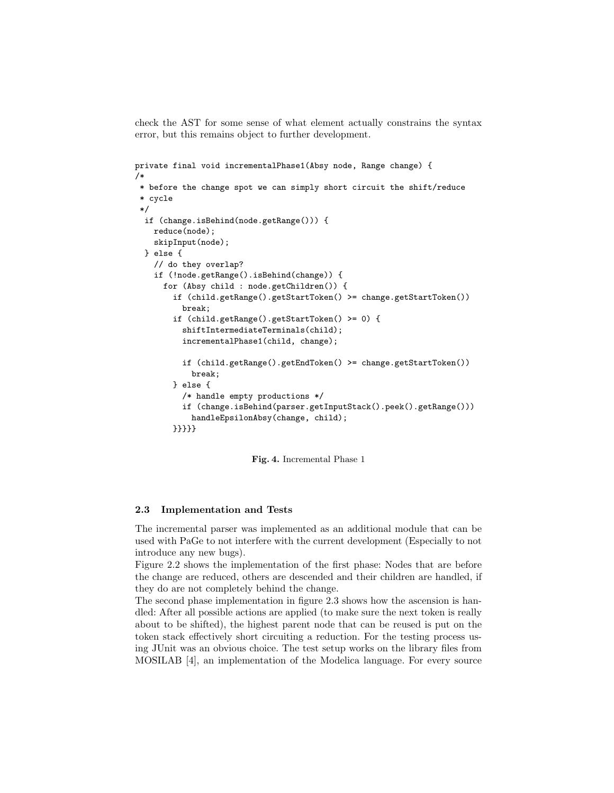check the AST for some sense of what element actually constrains the syntax error, but this remains object to further development.

```
private final void incrementalPhase1(Absy node, Range change) {
/*
* before the change spot we can simply short circuit the shift/reduce
* cycle
*/
 if (change.isBehind(node.getRange())) {
    reduce(node);
    skipInput(node);
 } else {
    // do they overlap?
    if (!node.getRange().isBehind(change)) {
      for (Absy child : node.getChildren()) {
       if (child.getRange().getStartToken() >= change.getStartToken())
          break;
        if (child.getRange().getStartToken() >= 0) {
          shiftIntermediateTerminals(child);
          incrementalPhase1(child, change);
          if (child.getRange().getEndToken() >= change.getStartToken())
            break;
       } else {
          /* handle empty productions */
          if (change.isBehind(parser.getInputStack().peek().getRange()))
            handleEpsilonAbsy(change, child);
       }}}}}
```
Fig. 4. Incremental Phase 1

#### 2.3 Implementation and Tests

The incremental parser was implemented as an additional module that can be used with PaGe to not interfere with the current development (Especially to not introduce any new bugs).

Figure 2.2 shows the implementation of the first phase: Nodes that are before the change are reduced, others are descended and their children are handled, if they do are not completely behind the change.

The second phase implementation in figure 2.3 shows how the ascension is handled: After all possible actions are applied (to make sure the next token is really about to be shifted), the highest parent node that can be reused is put on the token stack effectively short circuiting a reduction. For the testing process using JUnit was an obvious choice. The test setup works on the library files from MOSILAB [4], an implementation of the Modelica language. For every source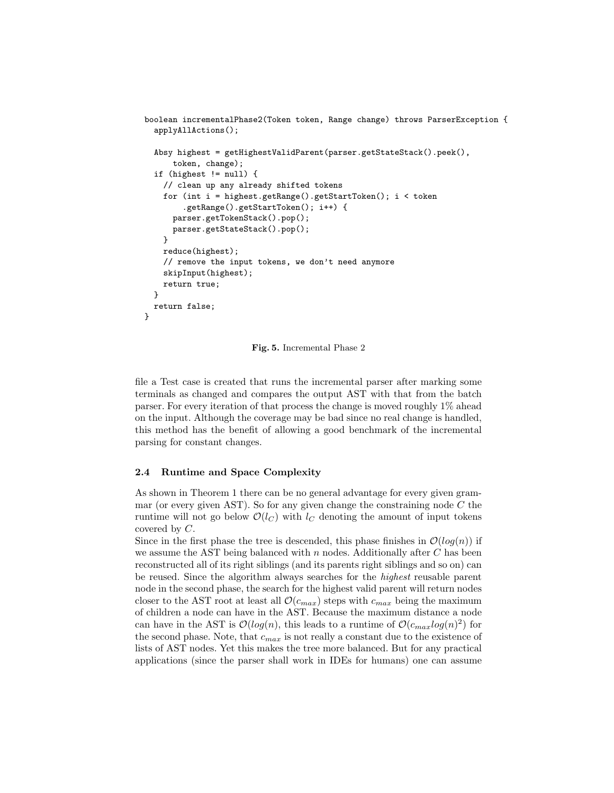```
boolean incrementalPhase2(Token token, Range change) throws ParserException {
  applyAllActions();
  Absy highest = getHighestValidParent(parser.getStateStack().peek(),
      token, change);
  if (highest != null) {
    // clean up any already shifted tokens
    for (int i = highest.getRange().getStartToken(); i < token
        .getRange().getStartToken(); i++) {
      parser.getTokenStack().pop();
      parser.getStateStack().pop();
    }
    reduce(highest);
    // remove the input tokens, we don't need anymore
    skipInput(highest);
   return true;
  }
  return false;
}
```
Fig. 5. Incremental Phase 2

file a Test case is created that runs the incremental parser after marking some terminals as changed and compares the output AST with that from the batch parser. For every iteration of that process the change is moved roughly 1% ahead on the input. Although the coverage may be bad since no real change is handled, this method has the benefit of allowing a good benchmark of the incremental parsing for constant changes.

## 2.4 Runtime and Space Complexity

As shown in Theorem 1 there can be no general advantage for every given grammar (or every given AST). So for any given change the constraining node  $C$  the runtime will not go below  $\mathcal{O}(l_C)$  with  $l_C$  denoting the amount of input tokens covered by C.

Since in the first phase the tree is descended, this phase finishes in  $\mathcal{O}(log(n))$  if we assume the AST being balanced with  $n$  nodes. Additionally after  $C$  has been reconstructed all of its right siblings (and its parents right siblings and so on) can be reused. Since the algorithm always searches for the highest reusable parent node in the second phase, the search for the highest valid parent will return nodes closer to the AST root at least all  $\mathcal{O}(c_{max})$  steps with  $c_{max}$  being the maximum of children a node can have in the AST. Because the maximum distance a node can have in the AST is  $\mathcal{O}(log(n))$ , this leads to a runtime of  $\mathcal{O}(c_{max}log(n)^2)$  for the second phase. Note, that  $c_{max}$  is not really a constant due to the existence of lists of AST nodes. Yet this makes the tree more balanced. But for any practical applications (since the parser shall work in IDEs for humans) one can assume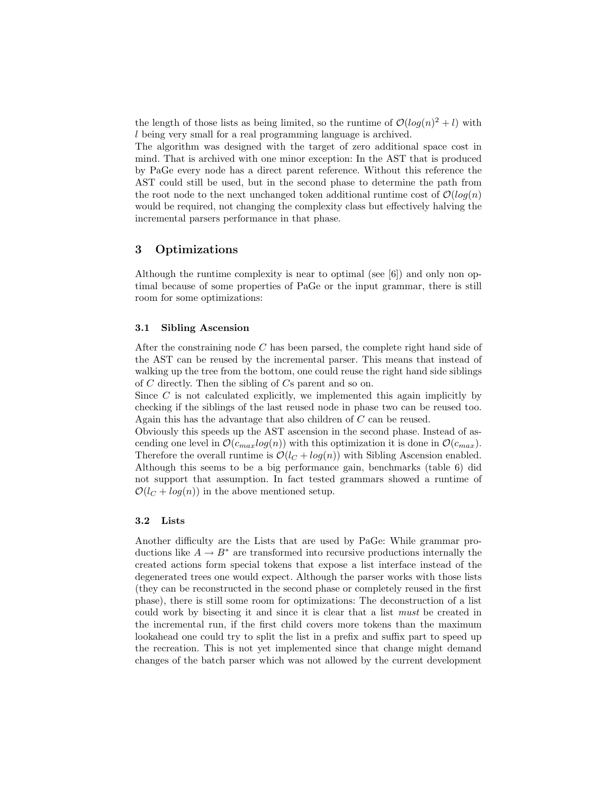the length of those lists as being limited, so the runtime of  $\mathcal{O}(log(n)^2 + l)$  with l being very small for a real programming language is archived.

The algorithm was designed with the target of zero additional space cost in mind. That is archived with one minor exception: In the AST that is produced by PaGe every node has a direct parent reference. Without this reference the AST could still be used, but in the second phase to determine the path from the root node to the next unchanged token additional runtime cost of  $\mathcal{O}(log(n))$ would be required, not changing the complexity class but effectively halving the incremental parsers performance in that phase.

# 3 Optimizations

Although the runtime complexity is near to optimal (see  $[6]$ ) and only non optimal because of some properties of PaGe or the input grammar, there is still room for some optimizations:

#### 3.1 Sibling Ascension

After the constraining node C has been parsed, the complete right hand side of the AST can be reused by the incremental parser. This means that instead of walking up the tree from the bottom, one could reuse the right hand side siblings of C directly. Then the sibling of Cs parent and so on.

Since  $C$  is not calculated explicitly, we implemented this again implicitly by checking if the siblings of the last reused node in phase two can be reused too. Again this has the advantage that also children of C can be reused.

Obviously this speeds up the AST ascension in the second phase. Instead of ascending one level in  $\mathcal{O}(c_{max}log(n))$  with this optimization it is done in  $\mathcal{O}(c_{max})$ . Therefore the overall runtime is  $\mathcal{O}(l_C + \log(n))$  with Sibling Ascension enabled. Although this seems to be a big performance gain, benchmarks (table 6) did not support that assumption. In fact tested grammars showed a runtime of  $\mathcal{O}(l_C + log(n))$  in the above mentioned setup.

## 3.2 Lists

Another difficulty are the Lists that are used by PaGe: While grammar productions like  $A \to B^*$  are transformed into recursive productions internally the created actions form special tokens that expose a list interface instead of the degenerated trees one would expect. Although the parser works with those lists (they can be reconstructed in the second phase or completely reused in the first phase), there is still some room for optimizations: The deconstruction of a list could work by bisecting it and since it is clear that a list must be created in the incremental run, if the first child covers more tokens than the maximum lookahead one could try to split the list in a prefix and suffix part to speed up the recreation. This is not yet implemented since that change might demand changes of the batch parser which was not allowed by the current development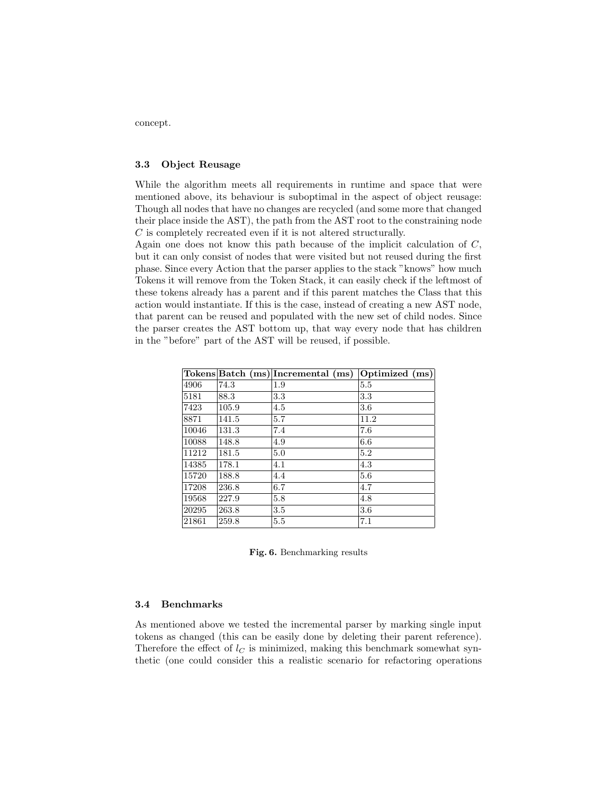concept.

### 3.3 Object Reusage

While the algorithm meets all requirements in runtime and space that were mentioned above, its behaviour is suboptimal in the aspect of object reusage: Though all nodes that have no changes are recycled (and some more that changed their place inside the AST), the path from the AST root to the constraining node C is completely recreated even if it is not altered structurally.

Again one does not know this path because of the implicit calculation of C, but it can only consist of nodes that were visited but not reused during the first phase. Since every Action that the parser applies to the stack "knows" how much Tokens it will remove from the Token Stack, it can easily check if the leftmost of these tokens already has a parent and if this parent matches the Class that this action would instantiate. If this is the case, instead of creating a new AST node, that parent can be reused and populated with the new set of child nodes. Since the parser creates the AST bottom up, that way every node that has children in the "before" part of the AST will be reused, if possible.

|       |       | Tokens Batch (ms) Incremental (ms) | Optimized (ms) |
|-------|-------|------------------------------------|----------------|
| 4906  | 74.3  | 1.9                                | 5.5            |
| 5181  | 88.3  | 3.3                                | 3.3            |
| 7423  | 105.9 | 4.5                                | 3.6            |
| 8871  | 141.5 | 5.7                                | 11.2           |
| 10046 | 131.3 | 7.4                                | 7.6            |
| 10088 | 148.8 | 4.9                                | 6.6            |
| 11212 | 181.5 | 5.0                                | 5.2            |
| 14385 | 178.1 | 4.1                                | 4.3            |
| 15720 | 188.8 | 4.4                                | 5.6            |
| 17208 | 236.8 | 6.7                                | 4.7            |
| 19568 | 227.9 | 5.8                                | 4.8            |
| 20295 | 263.8 | 3.5                                | 3.6            |
| 21861 | 259.8 | 5.5                                | 7.1            |

Fig. 6. Benchmarking results

#### 3.4 Benchmarks

As mentioned above we tested the incremental parser by marking single input tokens as changed (this can be easily done by deleting their parent reference). Therefore the effect of  $l<sub>C</sub>$  is minimized, making this benchmark somewhat synthetic (one could consider this a realistic scenario for refactoring operations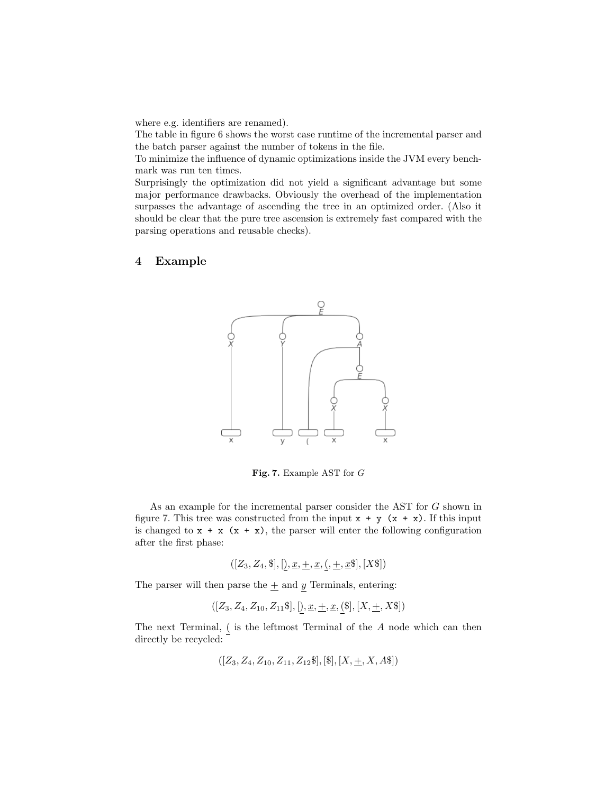where e.g. identifiers are renamed).

The table in figure 6 shows the worst case runtime of the incremental parser and the batch parser against the number of tokens in the file.

To minimize the influence of dynamic optimizations inside the JVM every benchmark was run ten times.

Surprisingly the optimization did not yield a significant advantage but some major performance drawbacks. Obviously the overhead of the implementation surpasses the advantage of ascending the tree in an optimized order. (Also it should be clear that the pure tree ascension is extremely fast compared with the parsing operations and reusable checks).

## 4 Example



Fig. 7. Example AST for G

As an example for the incremental parser consider the AST for G shown in figure 7. This tree was constructed from the input  $x + y$   $(x + x)$ . If this input is changed to  $x + x$   $(x + x)$ , the parser will enter the following configuration after the first phase:

$$
([Z_3, Z_4, \$], [), \underline{x}, \underline{+}, \underline{x}, (, \underline{+}, \underline{x}\$], [X\$])
$$

The parser will then parse the  $\pm$  and  $y$  Terminals, entering:

$$
([Z_3, Z_4, Z_{10}, Z_{11}\$], [), \underline{x}, \underline{+}, \underline{x}, (\$], [X, \underline{+}, X\$])
$$

The next Terminal, ( is the leftmost Terminal of the A node which can then directly be recycled:

$$
([Z_3, Z_4, Z_{10}, Z_{11}, Z_{12}\$], [\$], [X, \pm, X, A\$])
$$